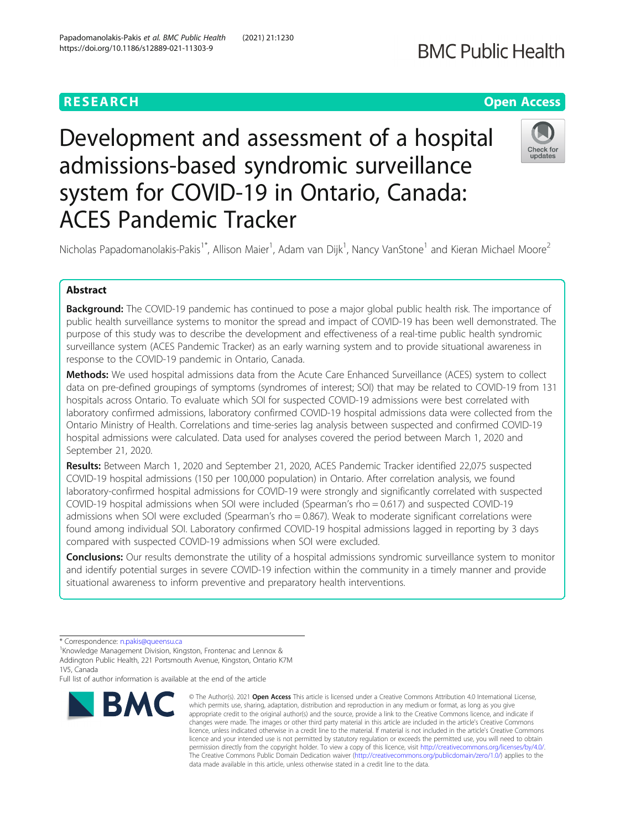# **BMC Public Health**

# **RESEARCH CHEAR CHEAR CHEAR CHEAR CHEAR CHEAR CHEAR CHEAR CHEAR CHEAR CHEAR CHEAR CHEAR CHEAR CHEAR CHEAR CHEAR**

# Development and assessment of a hospital admissions-based syndromic surveillance system for COVID-19 in Ontario, Canada: ACES Pandemic Tracker



Nicholas Papadomanolakis-Pakis<sup>1\*</sup>, Allison Maier<sup>1</sup>, Adam van Dijk<sup>1</sup>, Nancy VanStone<sup>1</sup> and Kieran Michael Moore<sup>2</sup>

## Abstract

Background: The COVID-19 pandemic has continued to pose a major global public health risk. The importance of public health surveillance systems to monitor the spread and impact of COVID-19 has been well demonstrated. The purpose of this study was to describe the development and effectiveness of a real-time public health syndromic surveillance system (ACES Pandemic Tracker) as an early warning system and to provide situational awareness in response to the COVID-19 pandemic in Ontario, Canada.

Methods: We used hospital admissions data from the Acute Care Enhanced Surveillance (ACES) system to collect data on pre-defined groupings of symptoms (syndromes of interest; SOI) that may be related to COVID-19 from 131 hospitals across Ontario. To evaluate which SOI for suspected COVID-19 admissions were best correlated with laboratory confirmed admissions, laboratory confirmed COVID-19 hospital admissions data were collected from the Ontario Ministry of Health. Correlations and time-series lag analysis between suspected and confirmed COVID-19 hospital admissions were calculated. Data used for analyses covered the period between March 1, 2020 and September 21, 2020.

Results: Between March 1, 2020 and September 21, 2020, ACES Pandemic Tracker identified 22,075 suspected COVID-19 hospital admissions (150 per 100,000 population) in Ontario. After correlation analysis, we found laboratory-confirmed hospital admissions for COVID-19 were strongly and significantly correlated with suspected COVID-19 hospital admissions when SOI were included (Spearman's rho = 0.617) and suspected COVID-19 admissions when SOI were excluded (Spearman's rho = 0.867). Weak to moderate significant correlations were found among individual SOI. Laboratory confirmed COVID-19 hospital admissions lagged in reporting by 3 days compared with suspected COVID-19 admissions when SOI were excluded.

**Conclusions:** Our results demonstrate the utility of a hospital admissions syndromic surveillance system to monitor and identify potential surges in severe COVID-19 infection within the community in a timely manner and provide situational awareness to inform preventive and preparatory health interventions.

Full list of author information is available at the end of the article



<sup>©</sup> The Author(s), 2021 **Open Access** This article is licensed under a Creative Commons Attribution 4.0 International License, which permits use, sharing, adaptation, distribution and reproduction in any medium or format, as long as you give appropriate credit to the original author(s) and the source, provide a link to the Creative Commons licence, and indicate if changes were made. The images or other third party material in this article are included in the article's Creative Commons licence, unless indicated otherwise in a credit line to the material. If material is not included in the article's Creative Commons licence and your intended use is not permitted by statutory regulation or exceeds the permitted use, you will need to obtain permission directly from the copyright holder. To view a copy of this licence, visit [http://creativecommons.org/licenses/by/4.0/.](http://creativecommons.org/licenses/by/4.0/) The Creative Commons Public Domain Dedication waiver [\(http://creativecommons.org/publicdomain/zero/1.0/](http://creativecommons.org/publicdomain/zero/1.0/)) applies to the data made available in this article, unless otherwise stated in a credit line to the data.

<sup>\*</sup> Correspondence: [n.pakis@queensu.ca](mailto:n.pakis@queensu.ca) <sup>1</sup>

<sup>&</sup>lt;sup>1</sup> Knowledge Management Division, Kingston, Frontenac and Lennox & Addington Public Health, 221 Portsmouth Avenue, Kingston, Ontario K7M 1V5, Canada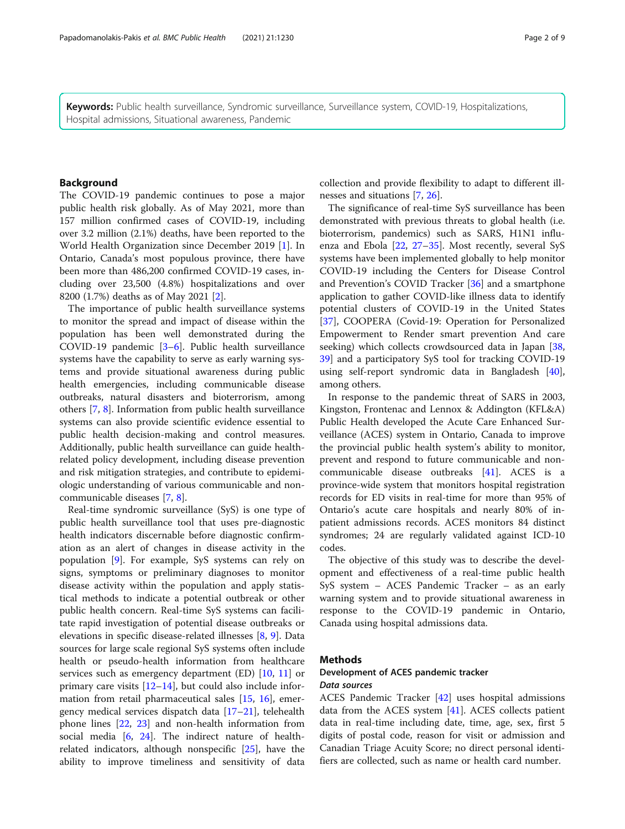Keywords: Public health surveillance, Syndromic surveillance, Surveillance system, COVID-19, Hospitalizations, Hospital admissions, Situational awareness, Pandemic

#### Background

The COVID-19 pandemic continues to pose a major public health risk globally. As of May 2021, more than 157 million confirmed cases of COVID-19, including over 3.2 million (2.1%) deaths, have been reported to the World Health Organization since December 2019 [\[1](#page-7-0)]. In Ontario, Canada's most populous province, there have been more than 486,200 confirmed COVID-19 cases, including over 23,500 (4.8%) hospitalizations and over 8200 (1.7%) deaths as of May 2021 [\[2](#page-7-0)].

The importance of public health surveillance systems to monitor the spread and impact of disease within the population has been well demonstrated during the COVID-19 pandemic [\[3](#page-7-0)–[6\]](#page-7-0). Public health surveillance systems have the capability to serve as early warning systems and provide situational awareness during public health emergencies, including communicable disease outbreaks, natural disasters and bioterrorism, among others [\[7](#page-7-0), [8](#page-7-0)]. Information from public health surveillance systems can also provide scientific evidence essential to public health decision-making and control measures. Additionally, public health surveillance can guide healthrelated policy development, including disease prevention and risk mitigation strategies, and contribute to epidemiologic understanding of various communicable and noncommunicable diseases [\[7,](#page-7-0) [8\]](#page-7-0).

Real-time syndromic surveillance (SyS) is one type of public health surveillance tool that uses pre-diagnostic health indicators discernable before diagnostic confirmation as an alert of changes in disease activity in the population [\[9\]](#page-7-0). For example, SyS systems can rely on signs, symptoms or preliminary diagnoses to monitor disease activity within the population and apply statistical methods to indicate a potential outbreak or other public health concern. Real-time SyS systems can facilitate rapid investigation of potential disease outbreaks or elevations in specific disease-related illnesses [[8,](#page-7-0) [9\]](#page-7-0). Data sources for large scale regional SyS systems often include health or pseudo-health information from healthcare services such as emergency department (ED) [[10,](#page-7-0) [11](#page-7-0)] or primary care visits [[12](#page-7-0)–[14](#page-7-0)], but could also include information from retail pharmaceutical sales [\[15,](#page-7-0) [16\]](#page-7-0), emergency medical services dispatch data [\[17](#page-7-0)–[21\]](#page-7-0), telehealth phone lines [[22](#page-7-0), [23](#page-7-0)] and non-health information from social media [[6,](#page-7-0) [24](#page-7-0)]. The indirect nature of healthrelated indicators, although nonspecific [\[25](#page-7-0)], have the ability to improve timeliness and sensitivity of data collection and provide flexibility to adapt to different illnesses and situations [[7](#page-7-0), [26](#page-7-0)].

The significance of real-time SyS surveillance has been demonstrated with previous threats to global health (i.e. bioterrorism, pandemics) such as SARS, H1N1 influenza and Ebola [[22,](#page-7-0) [27](#page-7-0)–[35\]](#page-8-0). Most recently, several SyS systems have been implemented globally to help monitor COVID-19 including the Centers for Disease Control and Prevention's COVID Tracker [\[36](#page-8-0)] and a smartphone application to gather COVID-like illness data to identify potential clusters of COVID-19 in the United States [[37\]](#page-8-0), COOPERA (Covid-19: Operation for Personalized Empowerment to Render smart prevention And care seeking) which collects crowdsourced data in Japan [[38](#page-8-0), [39\]](#page-8-0) and a participatory SyS tool for tracking COVID-19 using self-report syndromic data in Bangladesh [\[40](#page-8-0)], among others.

In response to the pandemic threat of SARS in 2003, Kingston, Frontenac and Lennox & Addington (KFL&A) Public Health developed the Acute Care Enhanced Surveillance (ACES) system in Ontario, Canada to improve the provincial public health system's ability to monitor, prevent and respond to future communicable and noncommunicable disease outbreaks [\[41](#page-8-0)]. ACES is a province-wide system that monitors hospital registration records for ED visits in real-time for more than 95% of Ontario's acute care hospitals and nearly 80% of inpatient admissions records. ACES monitors 84 distinct syndromes; 24 are regularly validated against ICD-10 codes.

The objective of this study was to describe the development and effectiveness of a real-time public health SyS system – ACES Pandemic Tracker – as an early warning system and to provide situational awareness in response to the COVID-19 pandemic in Ontario, Canada using hospital admissions data.

#### Methods

### Development of ACES pandemic tracker Data sources

ACES Pandemic Tracker [[42\]](#page-8-0) uses hospital admissions data from the ACES system [[41\]](#page-8-0). ACES collects patient data in real-time including date, time, age, sex, first 5 digits of postal code, reason for visit or admission and Canadian Triage Acuity Score; no direct personal identifiers are collected, such as name or health card number.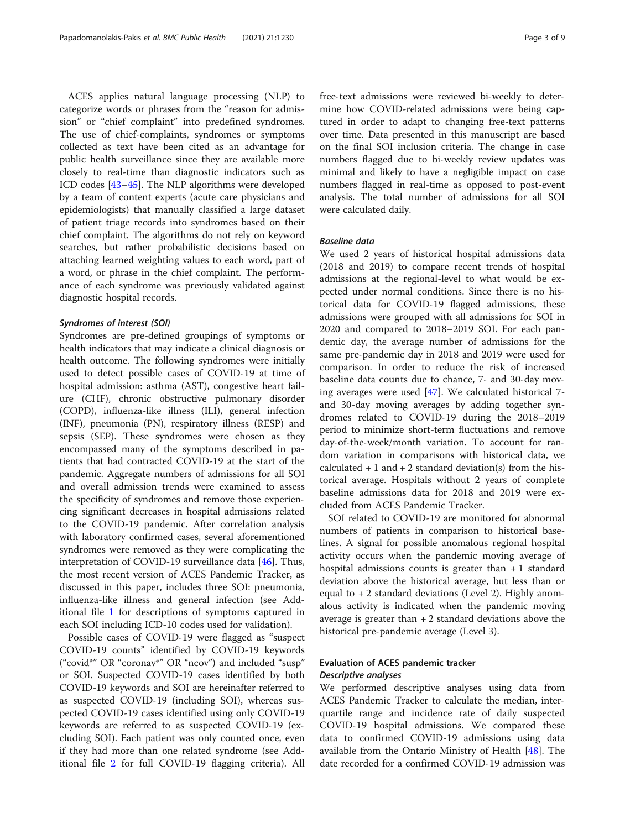ACES applies natural language processing (NLP) to categorize words or phrases from the "reason for admission" or "chief complaint" into predefined syndromes. The use of chief-complaints, syndromes or symptoms collected as text have been cited as an advantage for public health surveillance since they are available more closely to real-time than diagnostic indicators such as ICD codes [[43](#page-8-0)–[45](#page-8-0)]. The NLP algorithms were developed by a team of content experts (acute care physicians and epidemiologists) that manually classified a large dataset of patient triage records into syndromes based on their chief complaint. The algorithms do not rely on keyword searches, but rather probabilistic decisions based on attaching learned weighting values to each word, part of a word, or phrase in the chief complaint. The performance of each syndrome was previously validated against diagnostic hospital records.

#### Syndromes of interest (SOI)

Syndromes are pre-defined groupings of symptoms or health indicators that may indicate a clinical diagnosis or health outcome. The following syndromes were initially used to detect possible cases of COVID-19 at time of hospital admission: asthma (AST), congestive heart failure (CHF), chronic obstructive pulmonary disorder (COPD), influenza-like illness (ILI), general infection (INF), pneumonia (PN), respiratory illness (RESP) and sepsis (SEP). These syndromes were chosen as they encompassed many of the symptoms described in patients that had contracted COVID-19 at the start of the pandemic. Aggregate numbers of admissions for all SOI and overall admission trends were examined to assess the specificity of syndromes and remove those experiencing significant decreases in hospital admissions related to the COVID-19 pandemic. After correlation analysis with laboratory confirmed cases, several aforementioned syndromes were removed as they were complicating the interpretation of COVID-19 surveillance data [\[46](#page-8-0)]. Thus, the most recent version of ACES Pandemic Tracker, as discussed in this paper, includes three SOI: pneumonia, influenza-like illness and general infection (see Additional file [1](#page-6-0) for descriptions of symptoms captured in each SOI including ICD-10 codes used for validation).

Possible cases of COVID-19 were flagged as "suspect COVID-19 counts" identified by COVID-19 keywords ("covid\*" OR "coronav\*" OR "ncov") and included "susp" or SOI. Suspected COVID-19 cases identified by both COVID-19 keywords and SOI are hereinafter referred to as suspected COVID-19 (including SOI), whereas suspected COVID-19 cases identified using only COVID-19 keywords are referred to as suspected COVID-19 (excluding SOI). Each patient was only counted once, even if they had more than one related syndrome (see Additional file [2](#page-6-0) for full COVID-19 flagging criteria). All free-text admissions were reviewed bi-weekly to determine how COVID-related admissions were being captured in order to adapt to changing free-text patterns over time. Data presented in this manuscript are based on the final SOI inclusion criteria. The change in case numbers flagged due to bi-weekly review updates was minimal and likely to have a negligible impact on case numbers flagged in real-time as opposed to post-event analysis. The total number of admissions for all SOI were calculated daily.

#### Baseline data

We used 2 years of historical hospital admissions data (2018 and 2019) to compare recent trends of hospital admissions at the regional-level to what would be expected under normal conditions. Since there is no historical data for COVID-19 flagged admissions, these admissions were grouped with all admissions for SOI in 2020 and compared to 2018–2019 SOI. For each pandemic day, the average number of admissions for the same pre-pandemic day in 2018 and 2019 were used for comparison. In order to reduce the risk of increased baseline data counts due to chance, 7- and 30-day moving averages were used [[47](#page-8-0)]. We calculated historical 7 and 30-day moving averages by adding together syndromes related to COVID-19 during the 2018–2019 period to minimize short-term fluctuations and remove day-of-the-week/month variation. To account for random variation in comparisons with historical data, we calculated  $+ 1$  and  $+ 2$  standard deviation(s) from the historical average. Hospitals without 2 years of complete baseline admissions data for 2018 and 2019 were excluded from ACES Pandemic Tracker.

SOI related to COVID-19 are monitored for abnormal numbers of patients in comparison to historical baselines. A signal for possible anomalous regional hospital activity occurs when the pandemic moving average of hospital admissions counts is greater than  $+1$  standard deviation above the historical average, but less than or equal to  $+2$  standard deviations (Level 2). Highly anomalous activity is indicated when the pandemic moving average is greater than  $+2$  standard deviations above the historical pre-pandemic average (Level 3).

### Evaluation of ACES pandemic tracker Descriptive analyses

We performed descriptive analyses using data from ACES Pandemic Tracker to calculate the median, interquartile range and incidence rate of daily suspected COVID-19 hospital admissions. We compared these data to confirmed COVID-19 admissions using data available from the Ontario Ministry of Health [\[48](#page-8-0)]. The date recorded for a confirmed COVID-19 admission was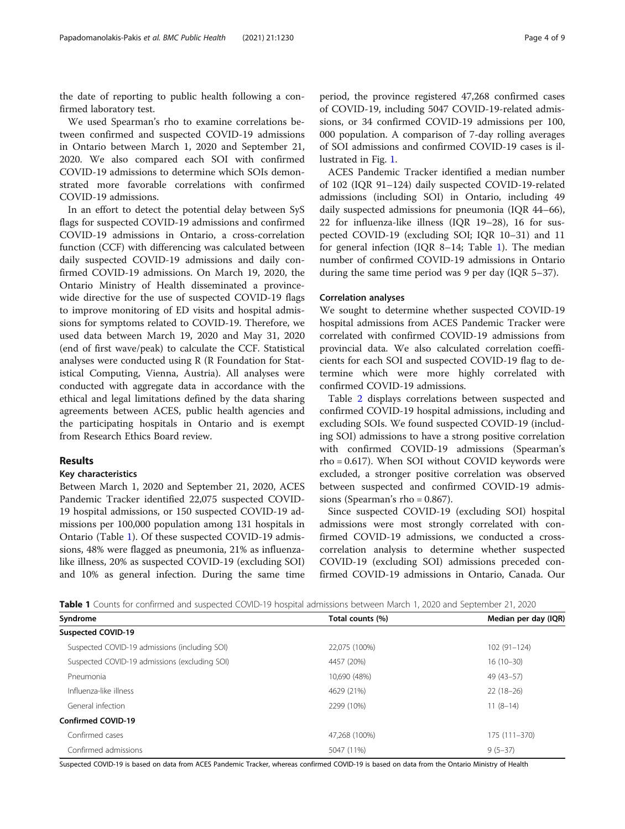the date of reporting to public health following a confirmed laboratory test.

We used Spearman's rho to examine correlations between confirmed and suspected COVID-19 admissions in Ontario between March 1, 2020 and September 21, 2020. We also compared each SOI with confirmed COVID-19 admissions to determine which SOIs demonstrated more favorable correlations with confirmed COVID-19 admissions.

In an effort to detect the potential delay between SyS flags for suspected COVID-19 admissions and confirmed COVID-19 admissions in Ontario, a cross-correlation function (CCF) with differencing was calculated between daily suspected COVID-19 admissions and daily confirmed COVID-19 admissions. On March 19, 2020, the Ontario Ministry of Health disseminated a provincewide directive for the use of suspected COVID-19 flags to improve monitoring of ED visits and hospital admissions for symptoms related to COVID-19. Therefore, we used data between March 19, 2020 and May 31, 2020 (end of first wave/peak) to calculate the CCF. Statistical analyses were conducted using R (R Foundation for Statistical Computing, Vienna, Austria). All analyses were conducted with aggregate data in accordance with the ethical and legal limitations defined by the data sharing agreements between ACES, public health agencies and the participating hospitals in Ontario and is exempt from Research Ethics Board review.

#### Results

#### Key characteristics

Between March 1, 2020 and September 21, 2020, ACES Pandemic Tracker identified 22,075 suspected COVID-19 hospital admissions, or 150 suspected COVID-19 admissions per 100,000 population among 131 hospitals in Ontario (Table 1). Of these suspected COVID-19 admissions, 48% were flagged as pneumonia, 21% as influenzalike illness, 20% as suspected COVID-19 (excluding SOI) and 10% as general infection. During the same time period, the province registered 47,268 confirmed cases of COVID-19, including 5047 COVID-19-related admissions, or 34 confirmed COVID-19 admissions per 100, 000 population. A comparison of 7-day rolling averages of SOI admissions and confirmed COVID-19 cases is illustrated in Fig. [1.](#page-4-0)

ACES Pandemic Tracker identified a median number of 102 (IQR 91–124) daily suspected COVID-19-related admissions (including SOI) in Ontario, including 49 daily suspected admissions for pneumonia (IQR 44–66), 22 for influenza-like illness (IQR 19–28), 16 for suspected COVID-19 (excluding SOI; IQR 10–31) and 11 for general infection (IQR 8–14; Table 1). The median number of confirmed COVID-19 admissions in Ontario during the same time period was 9 per day (IQR 5–37).

#### Correlation analyses

We sought to determine whether suspected COVID-19 hospital admissions from ACES Pandemic Tracker were correlated with confirmed COVID-19 admissions from provincial data. We also calculated correlation coefficients for each SOI and suspected COVID-19 flag to determine which were more highly correlated with confirmed COVID-19 admissions.

Table [2](#page-4-0) displays correlations between suspected and confirmed COVID-19 hospital admissions, including and excluding SOIs. We found suspected COVID-19 (including SOI) admissions to have a strong positive correlation with confirmed COVID-19 admissions (Spearman's rho = 0.617). When SOI without COVID keywords were excluded, a stronger positive correlation was observed between suspected and confirmed COVID-19 admissions (Spearman's rho  $= 0.867$ ).

Since suspected COVID-19 (excluding SOI) hospital admissions were most strongly correlated with confirmed COVID-19 admissions, we conducted a crosscorrelation analysis to determine whether suspected COVID-19 (excluding SOI) admissions preceded confirmed COVID-19 admissions in Ontario, Canada. Our

Table 1 Counts for confirmed and suspected COVID-19 hospital admissions between March 1, 2020 and September 21, 2020

| Syndrome                                      | Total counts (%) | Median per day (IQR) |
|-----------------------------------------------|------------------|----------------------|
| <b>Suspected COVID-19</b>                     |                  |                      |
| Suspected COVID-19 admissions (including SOI) | 22,075 (100%)    | $102(91 - 124)$      |
| Suspected COVID-19 admissions (excluding SOI) | 4457 (20%)       | $16(10-30)$          |
| Pneumonia                                     | 10,690 (48%)     | 49 (43-57)           |
| Influenza-like illness                        | 4629 (21%)       | $22(18-26)$          |
| General infection                             | 2299 (10%)       | $11(8-14)$           |
| <b>Confirmed COVID-19</b>                     |                  |                      |
| Confirmed cases                               | 47.268 (100%)    | 175 (111-370)        |
| Confirmed admissions                          | 5047 (11%)       | $9(5-37)$            |

Suspected COVID-19 is based on data from ACES Pandemic Tracker, whereas confirmed COVID-19 is based on data from the Ontario Ministry of Health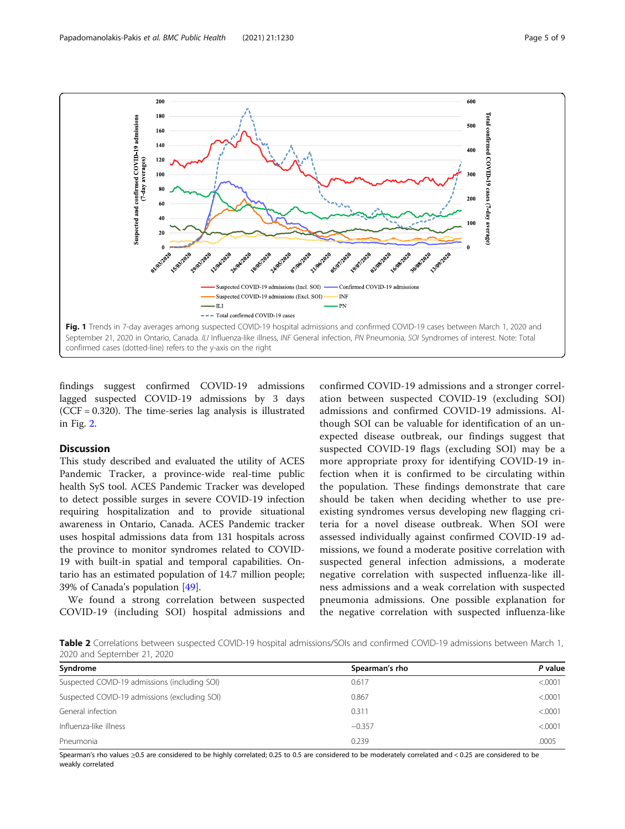<span id="page-4-0"></span>

findings suggest confirmed COVID-19 admissions lagged suspected COVID-19 admissions by 3 days  $(CCF = 0.320)$ . The time-series lag analysis is illustrated in Fig. [2.](#page-5-0)

#### Discussion

This study described and evaluated the utility of ACES Pandemic Tracker, a province-wide real-time public health SyS tool. ACES Pandemic Tracker was developed to detect possible surges in severe COVID-19 infection requiring hospitalization and to provide situational awareness in Ontario, Canada. ACES Pandemic tracker uses hospital admissions data from 131 hospitals across the province to monitor syndromes related to COVID-19 with built-in spatial and temporal capabilities. Ontario has an estimated population of 14.7 million people; 39% of Canada's population [[49](#page-8-0)].

We found a strong correlation between suspected COVID-19 (including SOI) hospital admissions and

confirmed COVID-19 admissions and a stronger correlation between suspected COVID-19 (excluding SOI) admissions and confirmed COVID-19 admissions. Although SOI can be valuable for identification of an unexpected disease outbreak, our findings suggest that suspected COVID-19 flags (excluding SOI) may be a more appropriate proxy for identifying COVID-19 infection when it is confirmed to be circulating within the population. These findings demonstrate that care should be taken when deciding whether to use preexisting syndromes versus developing new flagging criteria for a novel disease outbreak. When SOI were assessed individually against confirmed COVID-19 admissions, we found a moderate positive correlation with suspected general infection admissions, a moderate negative correlation with suspected influenza-like illness admissions and a weak correlation with suspected pneumonia admissions. One possible explanation for the negative correlation with suspected influenza-like

Table 2 Correlations between suspected COVID-19 hospital admissions/SOIs and confirmed COVID-19 admissions between March 1, 2020 and September 21, 2020

| Syndrome                                      | Spearman's rho | P value  |
|-----------------------------------------------|----------------|----------|
| Suspected COVID-19 admissions (including SOI) | 0.617          | < .0001  |
| Suspected COVID-19 admissions (excluding SOI) | 0.867          | < 0.0001 |
| General infection                             | 0.311          | < 0.0001 |
| Influenza-like illness                        | $-0.357$       | < 0.0001 |
| Pneumonia                                     | 0.239          | .0005    |

Spearman's rho values ≥0.5 are considered to be highly correlated; 0.25 to 0.5 are considered to be moderately correlated and < 0.25 are considered to be weakly correlated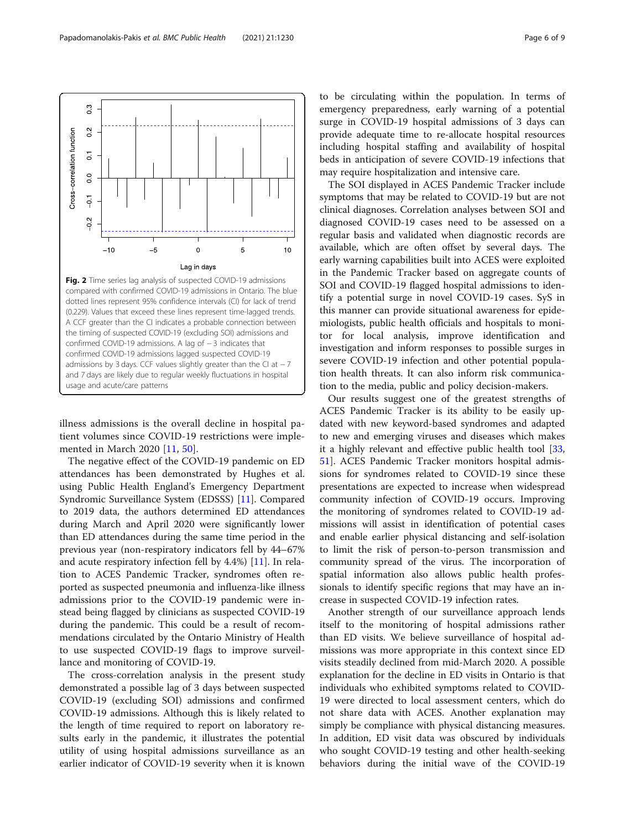<span id="page-5-0"></span>

illness admissions is the overall decline in hospital patient volumes since COVID-19 restrictions were implemented in March 2020 [[11,](#page-7-0) [50\]](#page-8-0).

The negative effect of the COVID-19 pandemic on ED attendances has been demonstrated by Hughes et al. using Public Health England's Emergency Department Syndromic Surveillance System (EDSSS) [\[11](#page-7-0)]. Compared to 2019 data, the authors determined ED attendances during March and April 2020 were significantly lower than ED attendances during the same time period in the previous year (non-respiratory indicators fell by 44–67% and acute respiratory infection fell by 4.4%) [[11\]](#page-7-0). In relation to ACES Pandemic Tracker, syndromes often reported as suspected pneumonia and influenza-like illness admissions prior to the COVID-19 pandemic were instead being flagged by clinicians as suspected COVID-19 during the pandemic. This could be a result of recommendations circulated by the Ontario Ministry of Health to use suspected COVID-19 flags to improve surveillance and monitoring of COVID-19.

The cross-correlation analysis in the present study demonstrated a possible lag of 3 days between suspected COVID-19 (excluding SOI) admissions and confirmed COVID-19 admissions. Although this is likely related to the length of time required to report on laboratory results early in the pandemic, it illustrates the potential utility of using hospital admissions surveillance as an earlier indicator of COVID-19 severity when it is known

to be circulating within the population. In terms of emergency preparedness, early warning of a potential surge in COVID-19 hospital admissions of 3 days can provide adequate time to re-allocate hospital resources including hospital staffing and availability of hospital beds in anticipation of severe COVID-19 infections that may require hospitalization and intensive care.

The SOI displayed in ACES Pandemic Tracker include symptoms that may be related to COVID-19 but are not clinical diagnoses. Correlation analyses between SOI and diagnosed COVID-19 cases need to be assessed on a regular basis and validated when diagnostic records are available, which are often offset by several days. The early warning capabilities built into ACES were exploited in the Pandemic Tracker based on aggregate counts of SOI and COVID-19 flagged hospital admissions to identify a potential surge in novel COVID-19 cases. SyS in this manner can provide situational awareness for epidemiologists, public health officials and hospitals to monitor for local analysis, improve identification and investigation and inform responses to possible surges in severe COVID-19 infection and other potential population health threats. It can also inform risk communication to the media, public and policy decision-makers.

Our results suggest one of the greatest strengths of ACES Pandemic Tracker is its ability to be easily updated with new keyword-based syndromes and adapted to new and emerging viruses and diseases which makes it a highly relevant and effective public health tool [[33](#page-8-0), [51\]](#page-8-0). ACES Pandemic Tracker monitors hospital admissions for syndromes related to COVID-19 since these presentations are expected to increase when widespread community infection of COVID-19 occurs. Improving the monitoring of syndromes related to COVID-19 admissions will assist in identification of potential cases and enable earlier physical distancing and self-isolation to limit the risk of person-to-person transmission and community spread of the virus. The incorporation of spatial information also allows public health professionals to identify specific regions that may have an increase in suspected COVID-19 infection rates.

Another strength of our surveillance approach lends itself to the monitoring of hospital admissions rather than ED visits. We believe surveillance of hospital admissions was more appropriate in this context since ED visits steadily declined from mid-March 2020. A possible explanation for the decline in ED visits in Ontario is that individuals who exhibited symptoms related to COVID-19 were directed to local assessment centers, which do not share data with ACES. Another explanation may simply be compliance with physical distancing measures. In addition, ED visit data was obscured by individuals who sought COVID-19 testing and other health-seeking behaviors during the initial wave of the COVID-19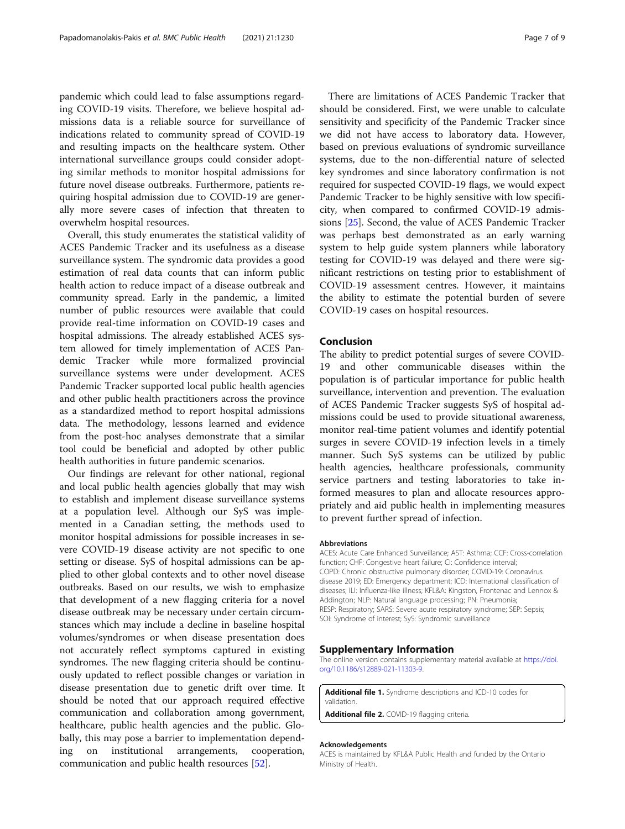<span id="page-6-0"></span>pandemic which could lead to false assumptions regarding COVID-19 visits. Therefore, we believe hospital admissions data is a reliable source for surveillance of indications related to community spread of COVID-19 and resulting impacts on the healthcare system. Other international surveillance groups could consider adopting similar methods to monitor hospital admissions for future novel disease outbreaks. Furthermore, patients requiring hospital admission due to COVID-19 are generally more severe cases of infection that threaten to overwhelm hospital resources.

Overall, this study enumerates the statistical validity of ACES Pandemic Tracker and its usefulness as a disease surveillance system. The syndromic data provides a good estimation of real data counts that can inform public health action to reduce impact of a disease outbreak and community spread. Early in the pandemic, a limited number of public resources were available that could provide real-time information on COVID-19 cases and hospital admissions. The already established ACES system allowed for timely implementation of ACES Pandemic Tracker while more formalized provincial surveillance systems were under development. ACES Pandemic Tracker supported local public health agencies and other public health practitioners across the province as a standardized method to report hospital admissions data. The methodology, lessons learned and evidence from the post-hoc analyses demonstrate that a similar tool could be beneficial and adopted by other public health authorities in future pandemic scenarios.

Our findings are relevant for other national, regional and local public health agencies globally that may wish to establish and implement disease surveillance systems at a population level. Although our SyS was implemented in a Canadian setting, the methods used to monitor hospital admissions for possible increases in severe COVID-19 disease activity are not specific to one setting or disease. SyS of hospital admissions can be applied to other global contexts and to other novel disease outbreaks. Based on our results, we wish to emphasize that development of a new flagging criteria for a novel disease outbreak may be necessary under certain circumstances which may include a decline in baseline hospital volumes/syndromes or when disease presentation does not accurately reflect symptoms captured in existing syndromes. The new flagging criteria should be continuously updated to reflect possible changes or variation in disease presentation due to genetic drift over time. It should be noted that our approach required effective communication and collaboration among government, healthcare, public health agencies and the public. Globally, this may pose a barrier to implementation depending on institutional arrangements, cooperation, communication and public health resources [[52\]](#page-8-0).

There are limitations of ACES Pandemic Tracker that should be considered. First, we were unable to calculate sensitivity and specificity of the Pandemic Tracker since we did not have access to laboratory data. However, based on previous evaluations of syndromic surveillance systems, due to the non-differential nature of selected key syndromes and since laboratory confirmation is not required for suspected COVID-19 flags, we would expect Pandemic Tracker to be highly sensitive with low specificity, when compared to confirmed COVID-19 admissions [[25](#page-7-0)]. Second, the value of ACES Pandemic Tracker was perhaps best demonstrated as an early warning system to help guide system planners while laboratory testing for COVID-19 was delayed and there were significant restrictions on testing prior to establishment of COVID-19 assessment centres. However, it maintains the ability to estimate the potential burden of severe COVID-19 cases on hospital resources.

#### Conclusion

The ability to predict potential surges of severe COVID-19 and other communicable diseases within the population is of particular importance for public health surveillance, intervention and prevention. The evaluation of ACES Pandemic Tracker suggests SyS of hospital admissions could be used to provide situational awareness, monitor real-time patient volumes and identify potential surges in severe COVID-19 infection levels in a timely manner. Such SyS systems can be utilized by public health agencies, healthcare professionals, community service partners and testing laboratories to take informed measures to plan and allocate resources appropriately and aid public health in implementing measures to prevent further spread of infection.

#### Abbreviations

ACES: Acute Care Enhanced Surveillance; AST: Asthma; CCF: Cross-correlation function; CHF: Congestive heart failure; CI: Confidence interval; COPD: Chronic obstructive pulmonary disorder; COVID-19: Coronavirus disease 2019; ED: Emergency department; ICD: International classification of diseases; ILI: Influenza-like illness; KFL&A: Kingston, Frontenac and Lennox & Addington; NLP: Natural language processing; PN: Pneumonia; RESP: Respiratory; SARS: Severe acute respiratory syndrome; SEP: Sepsis; SOI: Syndrome of interest; SyS: Syndromic surveillance

#### Supplementary Information

The online version contains supplementary material available at [https://doi.](https://doi.org/10.1186/s12889-021-11303-9) [org/10.1186/s12889-021-11303-9.](https://doi.org/10.1186/s12889-021-11303-9)

Additional file 1. Syndrome descriptions and ICD-10 codes for validation.

Additional file 2. COVID-19 flagging criteria.

#### Acknowledgements

ACES is maintained by KFL&A Public Health and funded by the Ontario Ministry of Health.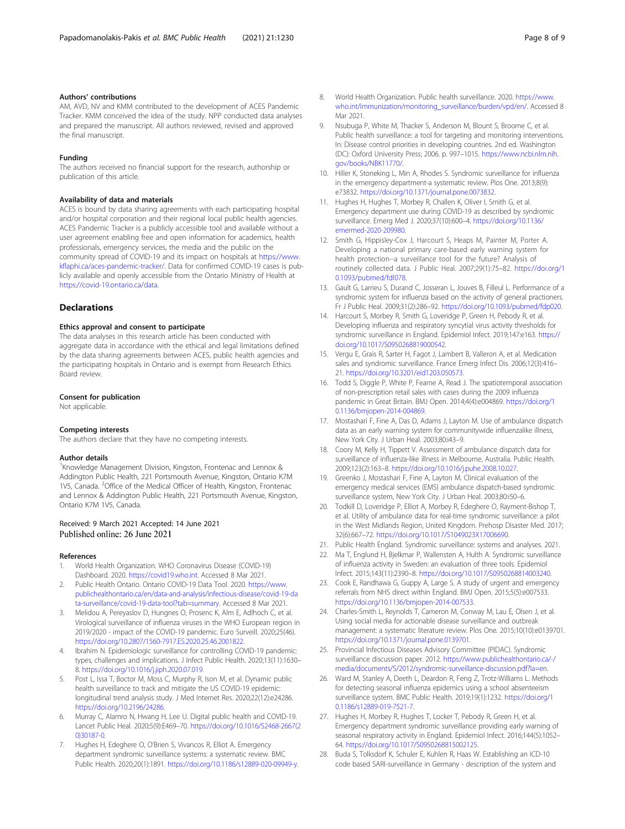#### <span id="page-7-0"></span>Authors' contributions

AM, AVD, NV and KMM contributed to the development of ACES Pandemic Tracker. KMM conceived the idea of the study. NPP conducted data analyses and prepared the manuscript. All authors reviewed, revised and approved the final manuscript.

#### Funding

The authors received no financial support for the research, authorship or publication of this article.

#### Availability of data and materials

ACES is bound by data sharing agreements with each participating hospital and/or hospital corporation and their regional local public health agencies. ACES Pandemic Tracker is a publicly accessible tool and available without a user agreement enabling free and open information for academics, health professionals, emergency services, the media and the public on the community spread of COVID-19 and its impact on hospitals at [https://www.](https://www.kflaphi.ca/aces-pandemic-tracker/) [kflaphi.ca/aces-pandemic-tracker/.](https://www.kflaphi.ca/aces-pandemic-tracker/) Data for confirmed COVID-19 cases is publicly available and openly accessible from the Ontario Ministry of Health at <https://covid-19.ontario.ca/data>.

#### **Declarations**

#### Ethics approval and consent to participate

The data analyses in this research article has been conducted with aggregate data in accordance with the ethical and legal limitations defined by the data sharing agreements between ACES, public health agencies and the participating hospitals in Ontario and is exempt from Research Ethics Board review.

#### Consent for publication

Not applicable.

#### Competing interests

The authors declare that they have no competing interests.

#### Author details

<sup>1</sup> Knowledge Management Division, Kingston, Frontenac and Lennox & Addington Public Health, 221 Portsmouth Avenue, Kingston, Ontario K7M 1V5, Canada. <sup>2</sup>Office of the Medical Officer of Health, Kingston, Frontenac and Lennox & Addington Public Health, 221 Portsmouth Avenue, Kingston, Ontario K7M 1V5, Canada.

#### Received: 9 March 2021 Accepted: 14 June 2021 Published online: 26 June 2021

#### References

- 1. World Health Organization. WHO Coronavirus Disease (COVID-19) Dashboard. 2020. <https://covid19.who.int>. Accessed 8 Mar 2021.
- 2. Public Health Ontario. Ontario COVID-19 Data Tool. 2020. [https://www.](https://www.publichealthontario.ca/en/data-and-analysis/infectious-disease/covid-19-data-surveillance/covid-19-data-tool?tab=summary) [publichealthontario.ca/en/data-and-analysis/infectious-disease/covid-19-da](https://www.publichealthontario.ca/en/data-and-analysis/infectious-disease/covid-19-data-surveillance/covid-19-data-tool?tab=summary) [ta-surveillance/covid-19-data-tool?tab=summary.](https://www.publichealthontario.ca/en/data-and-analysis/infectious-disease/covid-19-data-surveillance/covid-19-data-tool?tab=summary) Accessed 8 Mar 2021.
- 3. Melidou A, Pereyaslov D, Hungnes O, Prosenc K, Alm E, Adlhoch C, et al. Virological surveillance of influenza viruses in the WHO European region in 2019/2020 - impact of the COVID-19 pandemic. Euro Surveill. 2020;25(46). [https://doi.org/10.2807/1560-7917.ES.2020.25.46.2001822.](https://doi.org/10.2807/1560-7917.ES.2020.25.46.2001822)
- 4. Ibrahim N. Epidemiologic surveillance for controlling COVID-19 pandemic: types, challenges and implications. J Infect Public Health. 2020;13(11):1630– 8. <https://doi.org/10.1016/j.jiph.2020.07.019>.
- Post L, Issa T, Boctor M, Moss C, Murphy R, Ison M, et al. Dynamic public health surveillance to track and mitigate the US COVID-19 epidemic: longitudinal trend analysis study. J Med Internet Res. 2020;22(12):e24286. [https://doi.org/10.2196/24286.](https://doi.org/10.2196/24286)
- 6. Murray C, Alamro N, Hwang H, Lee U. Digital public health and COVID-19. Lancet Public Heal. 2020;5(9):E469–70. [https://doi.org/10.1016/S2468-2667\(2](https://doi.org/10.1016/S2468-2667(20)30187-0) [0\)30187-0](https://doi.org/10.1016/S2468-2667(20)30187-0).
- Hughes H, Edeghere O, O'Brien S, Vivancos R, Elliot A. Emergency department syndromic surveillance systems: a systematic review. BMC Public Health. 2020;20(1):1891. <https://doi.org/10.1186/s12889-020-09949-y>.
- 8. World Health Organization. Public health surveillance. 2020. [https://www.](https://www.who.int/immunization/monitoring_surveillance/burden/vpd/en/) [who.int/immunization/monitoring\\_surveillance/burden/vpd/en/](https://www.who.int/immunization/monitoring_surveillance/burden/vpd/en/). Accessed 8 Mar 2021.
- Nsubuga P, White M, Thacker S, Anderson M, Blount S, Broome C, et al. Public health surveillance: a tool for targeting and monitoring interventions. In: Disease control priorities in developing countries. 2nd ed. Washington (DC): Oxford University Press; 2006. p. 997–1015. [https://www.ncbi.nlm.nih.](https://www.ncbi.nlm.nih.gov/books/NBK11770/) [gov/books/NBK11770/.](https://www.ncbi.nlm.nih.gov/books/NBK11770/)
- 10. Hiller K, Stoneking L, Min A, Rhodes S. Syndromic surveillance for influenza in the emergency department-a systematic review. Plos One. 2013;8(9): e73832. <https://doi.org/10.1371/journal.pone.0073832>.
- 11. Hughes H, Hughes T, Morbey R, Challen K, Oliver I, Smith G, et al. Emergency department use during COVID-19 as described by syndromic surveillance. Emerg Med J. 2020;37(10):600–4. [https://doi.org/10.1136/](https://doi.org/10.1136/emermed-2020-209980) [emermed-2020-209980.](https://doi.org/10.1136/emermed-2020-209980)
- 12. Smith G, Hippisley-Cox J, Harcourt S, Heaps M, Painter M, Porter A. Developing a national primary care-based early warning system for health protection--a surveillance tool for the future? Analysis of routinely collected data. J Public Heal. 2007;29(1):75–82. [https://doi.org/1](https://doi.org/10.1093/pubmed/fdl078) [0.1093/pubmed/fdl078.](https://doi.org/10.1093/pubmed/fdl078)
- 13. Gault G, Larrieu S, Durand C, Josseran L, Jouves B, Filleul L. Performance of a syndromic system for influenza based on the activity of general practioners. Fr J Public Heal. 2009;31(2):286–92. [https://doi.org/10.1093/pubmed/fdp020.](https://doi.org/10.1093/pubmed/fdp020)
- 14. Harcourt S, Morbey R, Smith G, Loveridge P, Green H, Pebody R, et al. Developing influenza and respiratory syncytial virus activity thresholds for syndromic surveillance in England. Epidemiol Infect. 2019;147:e163. [https://](https://doi.org/10.1017/S0950268819000542) [doi.org/10.1017/S0950268819000542](https://doi.org/10.1017/S0950268819000542).
- 15. Vergu E, Grais R, Sarter H, Fagot J, Lambert B, Valleron A, et al. Medication sales and syndromic surveillance. France Emerg Infect Dis. 2006;12(3):416– 21. <https://doi.org/10.3201/eid1203.050573>.
- 16. Todd S, Diggle P, White P, Fearne A, Read J. The spatiotemporal association of non-prescription retail sales with cases during the 2009 influenza pandemic in Great Britain. BMJ Open. 2014;4(4):e004869. [https://doi.org/1](https://doi.org/10.1136/bmjopen-2014-004869) [0.1136/bmjopen-2014-004869.](https://doi.org/10.1136/bmjopen-2014-004869)
- 17. Mostashari F, Fine A, Das D, Adams J, Layton M. Use of ambulance dispatch data as an early warning system for communitywide influenzalike illness, New York City. J Urban Heal. 2003;80:i43–9.
- 18. Coory M, Kelly H, Tippett V. Assessment of ambulance dispatch data for surveillance of influenza-like illness in Melbourne, Australia. Public Health. 2009;123(2):163–8. [https://doi.org/10.1016/j.puhe.2008.10.027.](https://doi.org/10.1016/j.puhe.2008.10.027)
- 19. Greenko J, Mostashari F, Fine A, Layton M. Clinical evaluation of the emergency medical services (EMS) ambulance dispatch-based syndromic surveillance system, New York City. J Urban Heal. 2003;80:i50–6.
- 20. Todkill D, Loveridge P, Elliot A, Morbey R, Edeghere O, Rayment-Bishop T, et al. Utility of ambulance data for real-time syndromic surveillance: a pilot in the West Midlands Region, United Kingdom. Prehosp Disaster Med. 2017; 32(6):667–72. <https://doi.org/10.1017/S1049023X17006690>.
- 21. Public Health England. Syndromic surveillance: systems and analyses. 2021.
- 22. Ma T, Englund H, Bjelkmar P, Wallensten A, Hulth A. Syndromic surveillance of influenza activity in Sweden: an evaluation of three tools. Epidemiol Infect. 2015;143(11):2390–8. [https://doi.org/10.1017/S0950268814003240.](https://doi.org/10.1017/S0950268814003240)
- 23. Cook E, Randhawa G, Guppy A, Large S. A study of urgent and emergency referrals from NHS direct within England. BMJ Open. 2015;5(5):e007533. <https://doi.org/10.1136/bmjopen-2014-007533>.
- 24. Charles-Smith L, Reynolds T, Cameron M, Conway M, Lau E, Olsen J, et al. Using social media for actionable disease surveillance and outbreak management: a systematic literature review. Plos One. 2015;10(10):e0139701. [https://doi.org/10.1371/journal.pone.0139701.](https://doi.org/10.1371/journal.pone.0139701)
- 25. Provincial Infectious Diseases Advisory Committee (PIDAC). Syndromic surveillance discussion paper. 2012. [https://www.publichealthontario.ca/-/](https://www.publichealthontario.ca/-/media/documents/S/2012/syndromic-surveillance-discussion.pdf?la=en) [media/documents/S/2012/syndromic-surveillance-discussion.pdf?la=en.](https://www.publichealthontario.ca/-/media/documents/S/2012/syndromic-surveillance-discussion.pdf?la=en)
- 26. Ward M, Stanley A, Deeth L, Deardon R, Feng Z, Trotz-Williams L. Methods for detecting seasonal influenza epidemics using a school absenteeism surveillance system. BMC Public Health. 2019;19(1):1232. [https://doi.org/1](https://doi.org/10.1186/s12889-019-7521-7) [0.1186/s12889-019-7521-7.](https://doi.org/10.1186/s12889-019-7521-7)
- 27. Hughes H, Morbey R, Hughes T, Locker T, Pebody R, Green H, et al. Emergency department syndromic surveillance providing early warning of seasonal respiratory activity in England. Epidemiol Infect. 2016;144(5):1052– 64. [https://doi.org/10.1017/S0950268815002125.](https://doi.org/10.1017/S0950268815002125)
- 28. Buda S, Tolksdorf K, Schuler E, Kuhlen R, Haas W. Establishing an ICD-10 code based SARI-surveillance in Germany - description of the system and